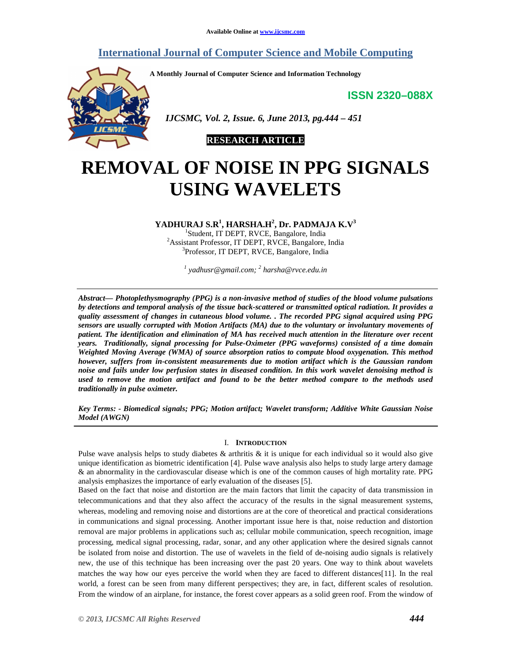## **International Journal of Computer Science and Mobile Computing**

**A Monthly Journal of Computer Science and Information Technology** 

**ISSN 2320–088X**



 *IJCSMC, Vol. 2, Issue. 6, June 2013, pg.444 – 451* 



# **REMOVAL OF NOISE IN PPG SIGNALS USING WAVELETS**

**YADHURAJ S.R<sup>1</sup> , HARSHA.H<sup>2</sup> , Dr. PADMAJA K.V<sup>3</sup>**

1 Student, IT DEPT, RVCE, Bangalore, India <sup>2</sup>Assistant Professor, IT DEPT, RVCE, Bangalore, India 3 Professor, IT DEPT, RVCE, Bangalore, India

*1 yadhusr@gmail.com; <sup>2</sup> harsha@rvce.edu.in* 

*Abstract— Photoplethysmography (PPG) is a non-invasive method of studies of the blood volume pulsations by detections and temporal analysis of the tissue back-scattered or transmitted optical radiation. It provides a quality assessment of changes in cutaneous blood volume. . The recorded PPG signal acquired using PPG sensors are usually corrupted with Motion Artifacts (MA) due to the voluntary or involuntary movements of patient. The identification and elimination of MA has received much attention in the literature over recent years. Traditionally, signal processing for Pulse-Oximeter (PPG waveforms) consisted of a time domain Weighted Moving Average (WMA) of source absorption ratios to compute blood oxygenation. This method however, suffers from in-consistent measurements due to motion artifact which is the Gaussian random noise and fails under low perfusion states in diseased condition. In this work wavelet denoising method is used to remove the motion artifact and found to be the better method compare to the methods used traditionally in pulse oximeter.* 

*Key Terms: - Biomedical signals; PPG; Motion artifact; Wavelet transform; Additive White Gaussian Noise Model (AWGN)* 

### I. **INTRODUCTION**

Pulse wave analysis helps to study diabetes & arthritis & it is unique for each individual so it would also give unique identification as biometric identification [4]. Pulse wave analysis also helps to study large artery damage & an abnormality in the cardiovascular disease which is one of the common causes of high mortality rate. PPG analysis emphasizes the importance of early evaluation of the diseases [5].

Based on the fact that noise and distortion are the main factors that limit the capacity of data transmission in telecommunications and that they also affect the accuracy of the results in the signal measurement systems, whereas, modeling and removing noise and distortions are at the core of theoretical and practical considerations in communications and signal processing. Another important issue here is that, noise reduction and distortion removal are major problems in applications such as; cellular mobile communication, speech recognition, image processing, medical signal processing, radar, sonar, and any other application where the desired signals cannot be isolated from noise and distortion. The use of wavelets in the field of de-noising audio signals is relatively new, the use of this technique has been increasing over the past 20 years. One way to think about wavelets matches the way how our eyes perceive the world when they are faced to different distances[11]. In the real world, a forest can be seen from many different perspectives; they are, in fact, different scales of resolution. From the window of an airplane, for instance, the forest cover appears as a solid green roof. From the window of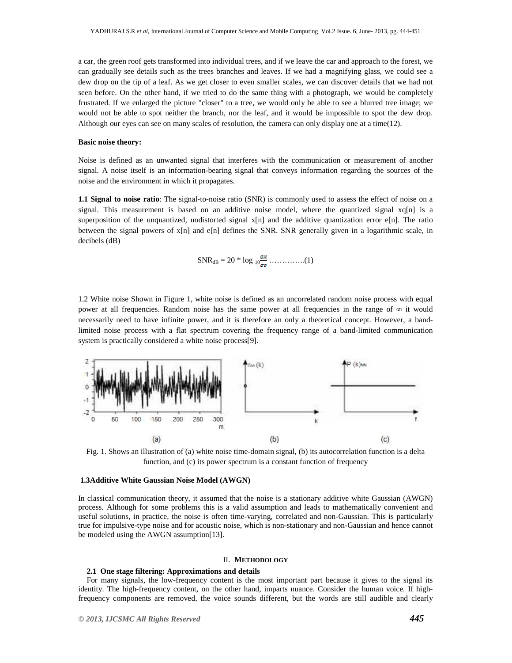a car, the green roof gets transformed into individual trees, and if we leave the car and approach to the forest, we can gradually see details such as the trees branches and leaves. If we had a magnifying glass, we could see a dew drop on the tip of a leaf. As we get closer to even smaller scales, we can discover details that we had not seen before. On the other hand, if we tried to do the same thing with a photograph, we would be completely frustrated. If we enlarged the picture "closer" to a tree, we would only be able to see a blurred tree image; we would not be able to spot neither the branch, nor the leaf, and it would be impossible to spot the dew drop. Although our eyes can see on many scales of resolution, the camera can only display one at a time(12).

#### **Basic noise theory:**

Noise is defined as an unwanted signal that interferes with the communication or measurement of another signal. A noise itself is an information-bearing signal that conveys information regarding the sources of the noise and the environment in which it propagates.

**1.1 Signal to noise ratio**: The signal-to-noise ratio (SNR) is commonly used to assess the effect of noise on a signal. This measurement is based on an additive noise model, where the quantized signal  $xq[n]$  is a superposition of the unquantized, undistorted signal x[n] and the additive quantization error e[n]. The ratio between the signal powers of x[n] and e[n] defines the SNR. SNR generally given in a logarithmic scale, in decibels (dB)

$$
SNR_{dB} = 20 * \log_{10} \frac{\sigma \kappa}{\sigma \sigma} \dots \dots \dots \dots (1)
$$

1.2 White noise Shown in Figure 1, white noise is defined as an uncorrelated random noise process with equal power at all frequencies. Random noise has the same power at all frequencies in the range of  $\infty$  it would necessarily need to have infinite power, and it is therefore an only a theoretical concept. However, a bandlimited noise process with a flat spectrum covering the frequency range of a band-limited communication system is practically considered a white noise process[9].



Fig. 1. Shows an illustration of (a) white noise time-domain signal, (b) its autocorrelation function is a delta function, and (c) its power spectrum is a constant function of frequency

#### **1.3Additive White Gaussian Noise Model (AWGN)**

In classical communication theory, it assumed that the noise is a stationary additive white Gaussian (AWGN) process. Although for some problems this is a valid assumption and leads to mathematically convenient and useful solutions, in practice, the noise is often time-varying, correlated and non-Gaussian. This is particularly true for impulsive-type noise and for acoustic noise, which is non-stationary and non-Gaussian and hence cannot be modeled using the AWGN assumption[13].

#### II. **METHODOLOGY**

#### **2.1 One stage filtering: Approximations and details**

For many signals, the low-frequency content is the most important part because it gives to the signal its identity. The high-frequency content, on the other hand, imparts nuance. Consider the human voice. If highfrequency components are removed, the voice sounds different, but the words are still audible and clearly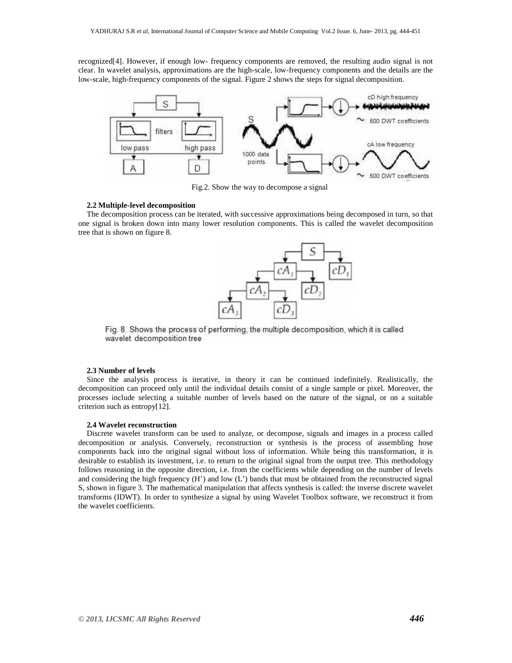recognized[4]. However, if enough low- frequency components are removed, the resulting audio signal is not clear. In wavelet analysis, approximations are the high-scale, low-frequency components and the details are the low-scale, high-frequency components of the signal. Figure 2 shows the steps for signal decomposition.



Fig.2. Show the way to decompose a signal

#### **2.2 Multiple-level decomposition**

The decomposition process can be iterated, with successive approximations being decomposed in turn, so that one signal is broken down into many lower resolution components. This is called the wavelet decomposition tree that is shown on figure 8.



Fig. 8. Shows the process of performing, the multiple decomposition, which it is called wavelet decomposition tree

#### **2.3 Number of levels**

Since the analysis process is iterative, in theory it can be continued indefinitely. Realistically, the decomposition can proceed only until the individual details consist of a single sample or pixel. Moreover, the processes include selecting a suitable number of levels based on the nature of the signal, or on a suitable criterion such as entropy[12].

#### **2.4 Wavelet reconstruction**

Discrete wavelet transform can be used to analyze, or decompose, signals and images in a process called decomposition or analysis. Conversely, reconstruction or synthesis is the process of assembling hose components back into the original signal without loss of information. While being this transformation, it is desirable to establish its investment, i.e. to return to the original signal from the output tree. This methodology follows reasoning in the opposite direction, i.e. from the coefficients while depending on the number of levels and considering the high frequency (H') and low (L') bands that must be obtained from the reconstructed signal S, shown in figure 3. The mathematical manipulation that affects synthesis is called: the inverse discrete wavelet transforms (IDWT). In order to synthesize a signal by using Wavelet Toolbox software, we reconstruct it from the wavelet coefficients.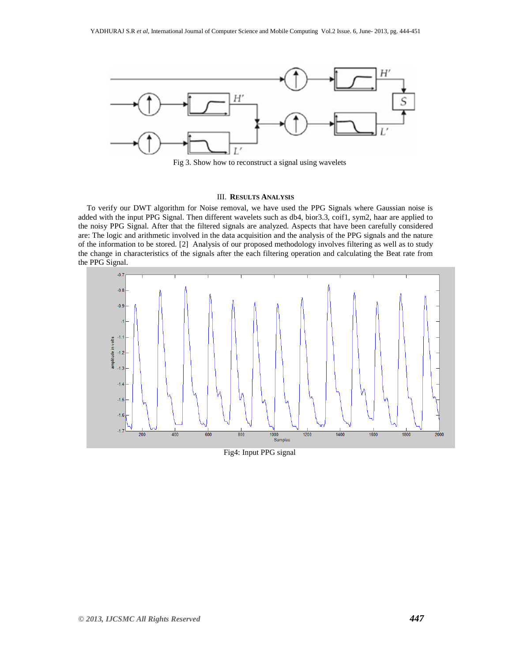

Fig 3. Show how to reconstruct a signal using wavelets

#### III. **RESULTS ANALYSIS**

To verify our DWT algorithm for Noise removal, we have used the PPG Signals where Gaussian noise is added with the input PPG Signal. Then different wavelets such as db4, bior3.3, coif1, sym2, haar are applied to the noisy PPG Signal. After that the filtered signals are analyzed. Aspects that have been carefully considered are: The logic and arithmetic involved in the data acquisition and the analysis of the PPG signals and the nature of the information to be stored. [2] Analysis of our proposed methodology involves filtering as well as to study the change in characteristics of the signals after the each filtering operation and calculating the Beat rate from the PPG Signal.



Fig4: Input PPG signal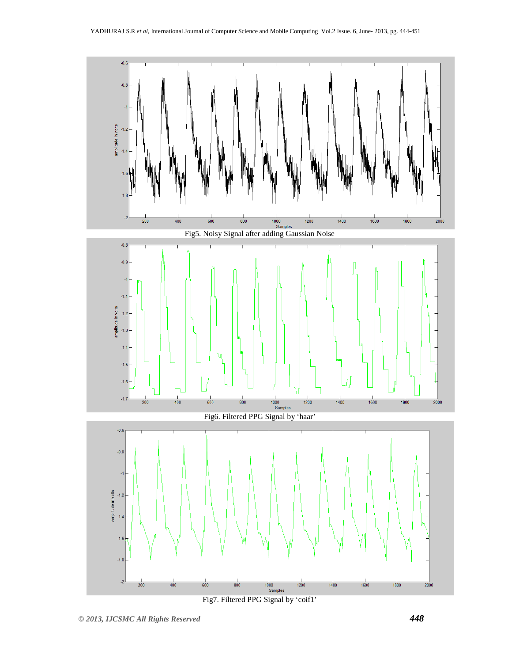

Fig7. Filtered PPG Signal by 'coif1'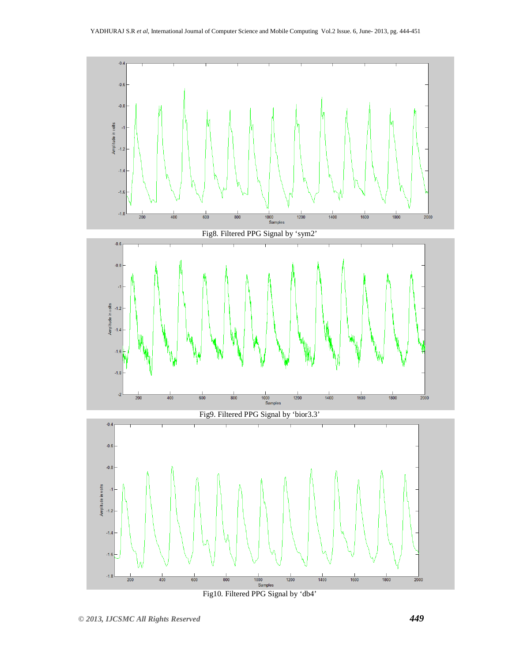

Fig10. Filtered PPG Signal by 'db4'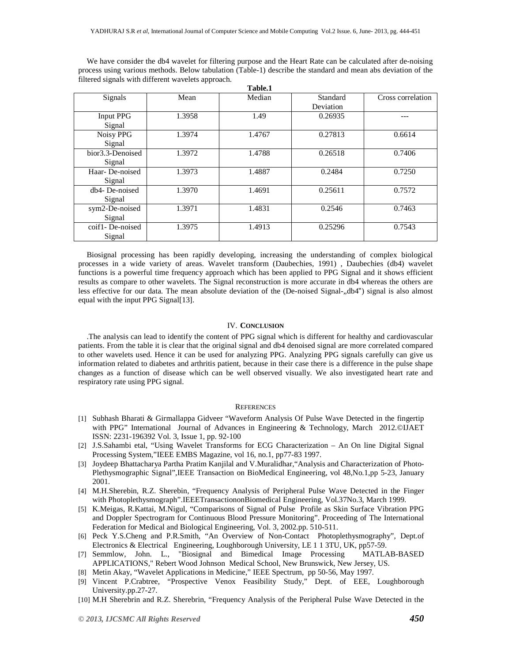**Table.1**  Signals Mean Median Standard Deviation Cross correlation Input PPG Signal 1.3958 1.49 1.49 0.26935 ---Noisy PPG Signal 1.3974 1.4767 0.27813 0.6614 bior3.3-Denoised Signal 1.3972 1.4788 0.26518 0.7406 Haar- De-noised Signal 1.3973 1.4887 0.2484 0.7250 db4- De-noised Signal 1.3970 1.4691 0.25611 0.7572 sym2-De-noised Signal 1.3971 1.4831 0.2546 0.7463 coif1- De-noised Signal 1.3975 1.4913 0.25296 0.7543

We have consider the db4 wavelet for filtering purpose and the Heart Rate can be calculated after de-noising process using various methods. Below tabulation (Table-1) describe the standard and mean abs deviation of the filtered signals with different wavelets approach.

Biosignal processing has been rapidly developing, increasing the understanding of complex biological processes in a wide variety of areas. Wavelet transform (Daubechies, 1991) , Daubechies (db4) wavelet functions is a powerful time frequency approach which has been applied to PPG Signal and it shows efficient results as compare to other wavelets. The Signal reconstruction is more accurate in db4 whereas the others are less effective for our data. The mean absolute deviation of the (De-noised Signal-,,db4") signal is also almost equal with the input PPG Signal[13].

#### IV. **CONCLUSION**

.The analysis can lead to identify the content of PPG signal which is different for healthy and cardiovascular patients. From the table it is clear that the original signal and db4 denoised signal are more correlated compared to other wavelets used. Hence it can be used for analyzing PPG. Analyzing PPG signals carefully can give us information related to diabetes and arthritis patient, because in their case there is a difference in the pulse shape changes as a function of disease which can be well observed visually. We also investigated heart rate and respiratory rate using PPG signal.

#### **REFERENCES**

- [1] Subhash Bharati & Girmallappa Gidveer "Waveform Analysis Of Pulse Wave Detected in the fingertip with PPG" International Journal of Advances in Engineering & Technology, March 2012.©IJAET ISSN: 2231-196392 Vol. 3, Issue 1, pp. 92-100
- [2] J.S.Sahambi etal, "Using Wavelet Transforms for ECG Characterization An On line Digital Signal Processing System,"IEEE EMBS Magazine, vol 16, no.1, pp77-83 1997.
- [3] Joydeep Bhattacharya Partha Pratim Kanjilal and V.Muralidhar,"Analysis and Characterization of Photo-Plethysmographic Signal",IEEE Transaction on BioMedical Engineering, vol 48,No.1,pp 5-23, January 2001.
- [4] M.H.Sherebin, R.Z. Sherebin, "Frequency Analysis of Peripheral Pulse Wave Detected in the Finger with Photoplethysmograph".IEEETransactiononBiomedical Engineering, Vol.37No.3, March 1999.
- [5] K.Meigas, R.Kattai, M.Nigul, "Comparisons of Signal of Pulse Profile as Skin Surface Vibration PPG and Doppler Spectrogram for Continuous Blood Pressure Monitoring". Proceeding of The International Federation for Medical and Biological Engineering, Vol. 3, 2002.pp. 510-511.
- [6] Peck Y.S.Cheng and P.R.Smith, "An Overview of Non-Contact Photoplethysmography", Dept.of Electronics & Electrical Engineering, Loughborough University, LE 1 1 3TU, UK, pp57-59.
- [7] Semmlow, John. L., "Biosignal and Bimedical Image Processing MATLAB-BASED APPLICATIONS," Rebert Wood Johnson Medical School, New Brunswick, New Jersey, US.
- [8] Metin Akay, "Wavelet Applications in Medicine," IEEE Spectrum, pp 50-56, May 1997.
- [9] Vincent P.Crabtree, "Prospective Venox Feasibility Study," Dept. of EEE, Loughborough University.pp.27-27.
- [10] M.H Sherebrin and R.Z. Sherebrin, "Frequency Analysis of the Peripheral Pulse Wave Detected in the